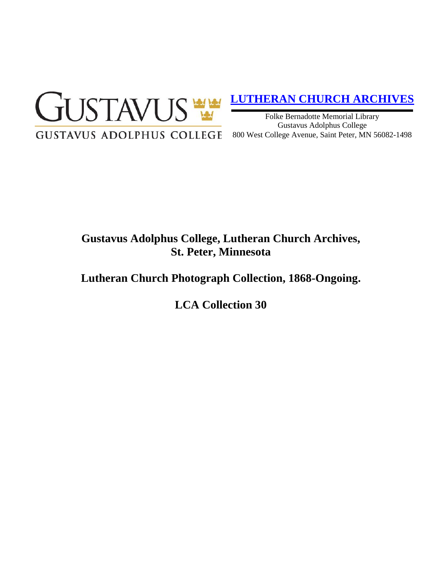

# **[LUTHERAN CHURCH ARCHIVES](http://gustavus.edu/academics/library/archives/)**

Folke Bernadotte Memorial Library Gustavus Adolphus College 800 West College Avenue, Saint Peter, MN 56082-1498

# **Gustavus Adolphus College, Lutheran Church Archives, St. Peter, Minnesota**

## **Lutheran Church Photograph Collection, 1868-Ongoing.**

**LCA Collection 30**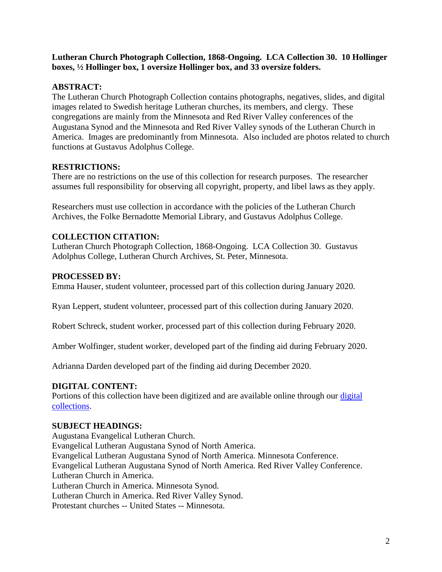#### **Lutheran Church Photograph Collection, 1868-Ongoing. LCA Collection 30. 10 Hollinger boxes, ½ Hollinger box, 1 oversize Hollinger box, and 33 oversize folders.**

### **ABSTRACT:**

The Lutheran Church Photograph Collection contains photographs, negatives, slides, and digital images related to Swedish heritage Lutheran churches, its members, and clergy. These congregations are mainly from the Minnesota and Red River Valley conferences of the Augustana Synod and the Minnesota and Red River Valley synods of the Lutheran Church in America. Images are predominantly from Minnesota. Also included are photos related to church functions at Gustavus Adolphus College.

### **RESTRICTIONS:**

There are no restrictions on the use of this collection for research purposes. The researcher assumes full responsibility for observing all copyright, property, and libel laws as they apply.

Researchers must use collection in accordance with the policies of the Lutheran Church Archives, the Folke Bernadotte Memorial Library, and Gustavus Adolphus College.

## **COLLECTION CITATION:**

Lutheran Church Photograph Collection, 1868-Ongoing. LCA Collection 30. Gustavus Adolphus College, Lutheran Church Archives, St. Peter, Minnesota.

#### **PROCESSED BY:**

Emma Hauser, student volunteer, processed part of this collection during January 2020.

Ryan Leppert, student volunteer, processed part of this collection during January 2020.

Robert Schreck, student worker, processed part of this collection during February 2020.

Amber Wolfinger, student worker, developed part of the finding aid during February 2020.

Adrianna Darden developed part of the finding aid during December 2020.

#### **DIGITAL CONTENT:**

Portions of this collection have been digitized and are available online through our digital [collections.](https://archives.gac.edu/digital/)

#### **SUBJECT HEADINGS:**

Augustana Evangelical Lutheran Church. Evangelical Lutheran Augustana Synod of North America. Evangelical Lutheran Augustana Synod of North America. Minnesota Conference. Evangelical Lutheran Augustana Synod of North America. Red River Valley Conference. Lutheran Church in America. Lutheran Church in America. Minnesota Synod. Lutheran Church in America. Red River Valley Synod. Protestant churches -- United States -- Minnesota.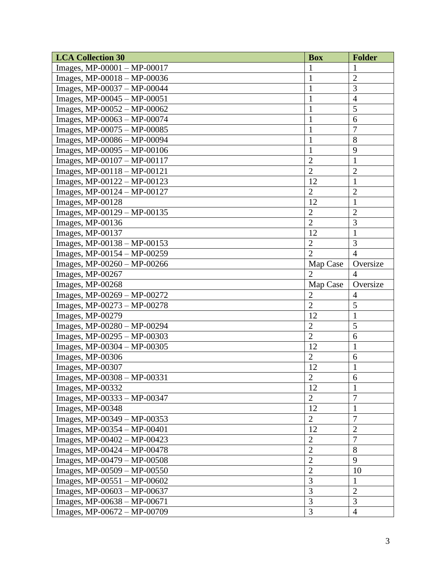| <b>LCA Collection 30</b>      | <b>Box</b>     | <b>Folder</b>  |
|-------------------------------|----------------|----------------|
| Images, $MP-00001 - MP-00017$ |                | 1              |
| Images, $MP-00018 - MP-00036$ | $\mathbf{1}$   | $\overline{2}$ |
| Images, MP-00037 - MP-00044   | 1              | 3              |
| Images, $MP-00045 - MP-00051$ | $\mathbf{1}$   | $\overline{4}$ |
| Images, MP-00052 - MP-00062   | 1              | 5              |
| Images, MP-00063 - MP-00074   | $\mathbf{1}$   | 6              |
| Images, MP-00075 - MP-00085   | $\mathbf{1}$   | $\overline{7}$ |
| Images, MP-00086 - MP-00094   | $\mathbf{1}$   | 8              |
| Images, MP-00095 - MP-00106   | $\mathbf{1}$   | 9              |
| Images, MP-00107 - MP-00117   | $\overline{2}$ | $\mathbf{1}$   |
| Images, MP-00118 - MP-00121   | $\overline{2}$ | $\overline{c}$ |
| Images, MP-00122 - MP-00123   | 12             | $\mathbf{1}$   |
| Images, $MP-00124 - MP-00127$ | $\overline{2}$ | $\overline{c}$ |
| Images, MP-00128              | 12             | 1              |
| Images, $MP-00129 - MP-00135$ | $\overline{2}$ | $\overline{2}$ |
| Images, MP-00136              | $\overline{2}$ | 3              |
| Images, MP-00137              | 12             | $\mathbf{1}$   |
| Images, MP-00138 - MP-00153   | $\overline{2}$ | 3              |
| Images, MP-00154 - MP-00259   | $\overline{2}$ | $\overline{4}$ |
| Images, MP-00260 - MP-00266   | Map Case       | Oversize       |
| Images, MP-00267              | $\overline{2}$ | $\overline{4}$ |
| Images, MP-00268              | Map Case       | Oversize       |
| Images, MP-00269 - MP-00272   | $\overline{2}$ | $\overline{4}$ |
| Images, MP-00273 - MP-00278   | $\overline{2}$ | 5              |
| Images, MP-00279              | 12             | $\mathbf{1}$   |
| Images, MP-00280 - MP-00294   | $\overline{2}$ | 5              |
| Images, MP-00295 - MP-00303   | $\overline{2}$ | 6              |
| Images, MP-00304 - MP-00305   | 12             | $\mathbf{1}$   |
| Images, MP-00306              | $\overline{2}$ | 6              |
| Images, MP-00307              | 12             | $\mathbf{1}$   |
| Images, MP-00308 - MP-00331   | $\overline{2}$ | 6              |
| Images, MP-00332              | 12             | $\mathbf{1}$   |
| Images, $MP-00333 - MP-00347$ | $\overline{2}$ | $\tau$         |
| Images, MP-00348              | 12             | $\mathbf{1}$   |
| Images, $MP-00349 - MP-00353$ | $\overline{2}$ | 7              |
| Images, MP-00354 - MP-00401   | 12             | $\overline{2}$ |
| Images, $MP-00402 - MP-00423$ | $\overline{2}$ | 7              |
| Images, MP-00424 - MP-00478   | $\overline{2}$ | 8              |
| Images, MP-00479 - MP-00508   | $\overline{2}$ | 9              |
| Images, $MP-00509 - MP-00550$ | $\overline{2}$ | 10             |
| Images, MP-00551 - MP-00602   | 3              | $\mathbf{1}$   |
| Images, $MP-00603 - MP-00637$ | 3              | $\mathbf{2}$   |
| Images, MP-00638 - MP-00671   | 3              | 3              |
| Images, $MP-00672 - MP-00709$ | 3              | $\overline{4}$ |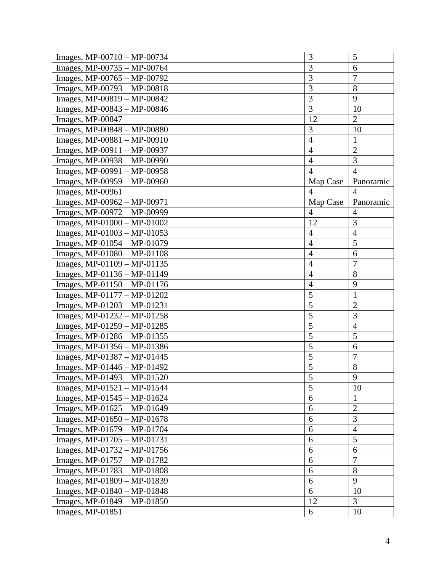| Images, $MP-00710 - MP-00734$ | 3              | 5              |
|-------------------------------|----------------|----------------|
| Images, MP-00735 - MP-00764   | 3              | 6              |
| Images, MP-00765 - MP-00792   | 3              | $\overline{7}$ |
| Images, MP-00793 - MP-00818   | 3              | 8              |
| Images, MP-00819 - MP-00842   | 3              | 9              |
| Images, MP-00843 - MP-00846   | 3              | 10             |
| Images, MP-00847              | 12             | $\overline{2}$ |
| Images, MP-00848 - MP-00880   | 3              | 10             |
| Images, $MP-00881 - MP-00910$ | $\overline{4}$ | 1              |
| Images, $MP-00911 - MP-00937$ | $\overline{4}$ | $\overline{2}$ |
| Images, MP-00938 - MP-00990   | $\overline{4}$ | 3              |
| Images, MP-00991 - MP-00958   | $\overline{4}$ | $\overline{4}$ |
| Images, MP-00959 - MP-00960   | Map Case       | Panoramic      |
| Images, MP-00961              | $\overline{4}$ | $\overline{4}$ |
| Images, MP-00962 - MP-00971   | Map Case       | Panoramic      |
| Images, MP-00972 - MP-00999   | $\overline{4}$ | $\overline{4}$ |
| Images, $MP-01000 - MP-01002$ | 12             | 3              |
| Images, MP-01003 - MP-01053   | $\overline{4}$ | $\overline{4}$ |
| Images, MP-01054 - MP-01079   | $\overline{4}$ | 5              |
| Images, $MP-01080 - MP-01108$ | $\overline{4}$ | 6              |
| Images, $MP-01109 - MP-01135$ | $\overline{4}$ | $\overline{7}$ |
| Images, MP-01136 - MP-01149   | $\overline{4}$ | 8              |
| Images, MP-01150 - MP-01176   | $\overline{4}$ | 9              |
| Images, $MP-01177 - MP-01202$ | 5              | $\mathbf{1}$   |
| Images, $MP-01203 - MP-01231$ | 5              | $\overline{2}$ |
| Images, $MP-01232 - MP-01258$ | 5              | 3              |
| Images, MP-01259 - MP-01285   | 5              | $\overline{4}$ |
| Images, MP-01286 - MP-01355   | 5              | 5              |
| Images, MP-01356 - MP-01386   | 5              | 6              |
| Images, MP-01387 - MP-01445   | 5              | $\overline{7}$ |
| Images, MP-01446 - MP-01492   | 5              | 8              |
| Images, MP-01493 - MP-01520   | $\overline{5}$ | 9              |
| Images, $MP-01521-MP-01544$   | 5              | 10             |
| Images, MP-01545 - MP-01624   | 6              | $\mathbf{1}$   |
| Images, MP-01625 - MP-01649   | 6              | $\mathfrak{2}$ |
| Images, MP-01650 - MP-01678   | 6              | 3              |
| Images, $MP-01679 - MP-01704$ | 6              | $\overline{4}$ |
| Images, $MP-01705 - MP-01731$ | 6              | 5              |
| Images, $MP-01732 - MP-01756$ | 6              | 6              |
| Images, $MP-01757 - MP-01782$ | 6              | $\overline{7}$ |
| Images, MP-01783 - MP-01808   | 6              | 8              |
| Images, MP-01809 - MP-01839   | 6              | 9              |
| Images, $MP-01840 - MP-01848$ | 6              | 10             |
| Images, MP-01849 - MP-01850   | 12             | $\overline{3}$ |
| Images, MP-01851              | 6              | 10             |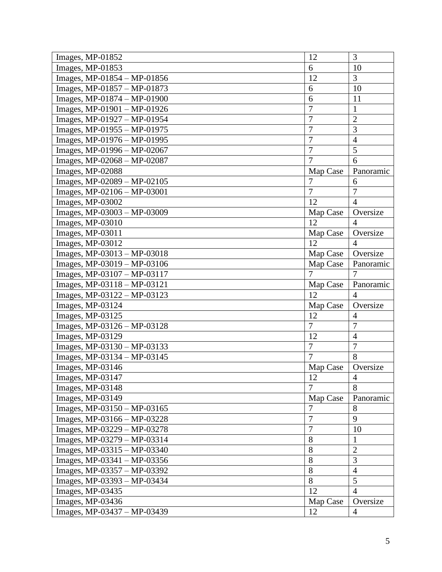| Images, MP-01852              | 12             | 3              |
|-------------------------------|----------------|----------------|
| Images, MP-01853              | 6              | 10             |
| Images, MP-01854 - MP-01856   | 12             | 3              |
| Images, MP-01857 - MP-01873   | 6              | 10             |
| Images, MP-01874 - MP-01900   | 6              | 11             |
| Images, $MP-01901 - MP-01926$ | $\overline{7}$ | $\mathbf{1}$   |
| Images, MP-01927 - MP-01954   | $\overline{7}$ | $\overline{2}$ |
| Images, MP-01955 - MP-01975   | $\overline{7}$ | 3              |
| Images, MP-01976 - MP-01995   | 7              | $\overline{4}$ |
| Images, MP-01996 - MP-02067   | $\overline{7}$ | 5              |
| Images, MP-02068 - MP-02087   | $\overline{7}$ | 6              |
| Images, MP-02088              | Map Case       | Panoramic      |
| Images, MP-02089 - MP-02105   | $\overline{7}$ | 6              |
| Images, MP-02106 - MP-03001   | $\overline{7}$ | 7              |
| Images, MP-03002              | 12             | $\overline{4}$ |
| Images, MP-03003 - MP-03009   | Map Case       | Oversize       |
| Images, MP-03010              | 12             | $\overline{4}$ |
| Images, MP-03011              | Map Case       | Oversize       |
| Images, MP-03012              | 12             | $\overline{4}$ |
| Images, MP-03013 - MP-03018   | Map Case       | Oversize       |
| Images, MP-03019 - MP-03106   | Map Case       | Panoramic      |
| Images, MP-03107 - MP-03117   | 7              |                |
| Images, MP-03118 - MP-03121   | Map Case       | Panoramic      |
| Images, MP-03122 - MP-03123   | 12             | $\overline{4}$ |
| Images, MP-03124              | Map Case       | Oversize       |
| Images, MP-03125              | 12             | $\overline{4}$ |
| Images, MP-03126 - MP-03128   | $\overline{7}$ | 7              |
| Images, MP-03129              | 12             | $\overline{4}$ |
| Images, MP-03130 - MP-03133   | $\overline{7}$ | $\overline{7}$ |
| Images, MP-03134 - MP-03145   | $\overline{7}$ | 8              |
| Images, MP-03146              | Map Case       | Oversize       |
| Images, MP-03147              | 12             | 4              |
| Images, MP-03148              | 7              | 8              |
| Images, MP-03149              | Map Case       | Panoramic      |
| Images, MP-03150 - MP-03165   | 7              | 8              |
| Images, MP-03166 - MP-03228   | $\overline{7}$ | 9              |
| Images, MP-03229 - MP-03278   | $\overline{7}$ | 10             |
| Images, MP-03279 - MP-03314   | 8              | $\mathbf{1}$   |
| Images, MP-03315 - MP-03340   | 8              | $\overline{2}$ |
| Images, MP-03341 - MP-03356   | 8              | 3              |
| Images, MP-03357 - MP-03392   | 8              | $\overline{4}$ |
| Images, MP-03393 - MP-03434   | 8              | 5              |
| Images, MP-03435              | 12             | $\overline{4}$ |
| Images, MP-03436              | Map Case       | Oversize       |
| Images, $MP-03437 - MP-03439$ | 12             | $\overline{4}$ |